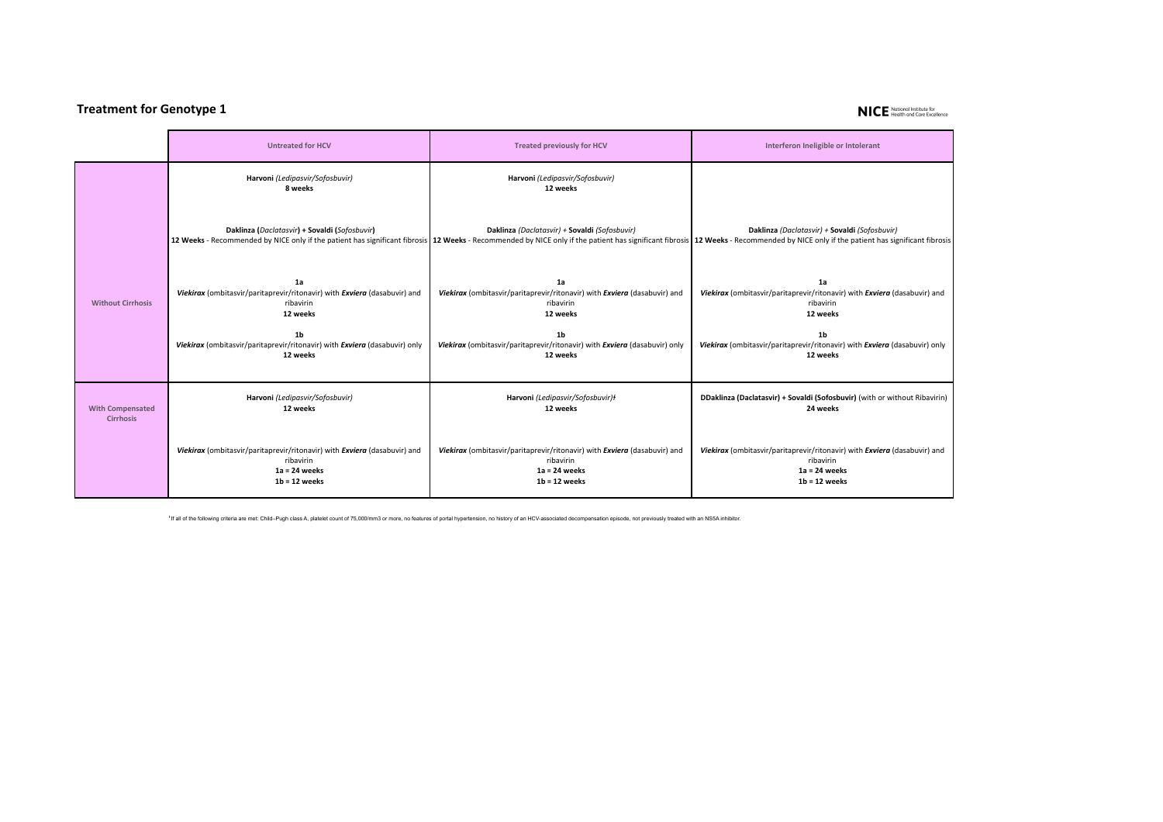## **Treatment for Genotype 1**

## NICE National Institute for

|                          | <b>Untreated for HCV</b>                                                   | <b>Treated previously for HCV</b>                                          | Interferon Ineligible or Intolerant                                                                                                                                                                                                                                             |
|--------------------------|----------------------------------------------------------------------------|----------------------------------------------------------------------------|---------------------------------------------------------------------------------------------------------------------------------------------------------------------------------------------------------------------------------------------------------------------------------|
|                          | Harvoni (Ledipasvir/Sofosbuvir)<br>8 weeks                                 | Harvoni (Ledipasvir/Sofosbuvir)<br>12 weeks                                |                                                                                                                                                                                                                                                                                 |
|                          | Daklinza (Daclatasvir) + Sovaldi (Sofosbuvir)                              | Daklinza (Daclatasvir) + Sovaldi (Sofosbuvir)                              | Daklinza (Daclatasvir) + Sovaldi (Sofosbuvir)<br>12 Weeks - Recommended by NICE only if the patient has significant fibrosis 12 Weeks - Recommended by NICE only if the patient has significant fibrosis 12 Weeks - Recommended by NICE only if the patient has significant fib |
| <b>Without Cirrhosis</b> | 1a                                                                         | 1a                                                                         | 1a                                                                                                                                                                                                                                                                              |
|                          | Viekirax (ombitasvir/paritaprevir/ritonavir) with Exviera (dasabuvir) and  | Viekirax (ombitasvir/paritaprevir/ritonavir) with Exviera (dasabuvir) and  | Viekirax (ombitasvir/paritaprevir/ritonavir) with Exviera (dasabuvir) and                                                                                                                                                                                                       |
|                          | ribavirin                                                                  | ribavirin                                                                  | ribavirin                                                                                                                                                                                                                                                                       |
|                          | 12 weeks                                                                   | 12 weeks                                                                   | 12 weeks                                                                                                                                                                                                                                                                        |
|                          | 1 <sub>b</sub>                                                             | 1 <sub>b</sub>                                                             | 1 <sub>b</sub>                                                                                                                                                                                                                                                                  |
|                          | Viekirax (ombitasvir/paritaprevir/ritonavir) with Exviera (dasabuvir) only | Viekirax (ombitasvir/paritaprevir/ritonavir) with Exviera (dasabuvir) only | Viekirax (ombitasvir/paritaprevir/ritonavir) with Exviera (dasabuvir) only                                                                                                                                                                                                      |
|                          | 12 weeks                                                                   | 12 weeks                                                                   | 12 weeks                                                                                                                                                                                                                                                                        |
| <b>With Compensated</b>  | Harvoni (Ledipasvir/Sofosbuvir)                                            | Harvoni (Ledipasvir/Sofosbuvir)ł                                           | DDaklinza (Daclatasvir) + Sovaldi (Sofosbuvir) (with or without Ribavirin)                                                                                                                                                                                                      |
| <b>Cirrhosis</b>         | 12 weeks                                                                   | 12 weeks                                                                   | 24 weeks                                                                                                                                                                                                                                                                        |
|                          | Viekirax (ombitasvir/paritaprevir/ritonavir) with Exviera (dasabuvir) and  | Viekirax (ombitasvir/paritaprevir/ritonavir) with Exviera (dasabuvir) and  | Viekirax (ombitasvir/paritaprevir/ritonavir) with Exviera (dasabuvir) and                                                                                                                                                                                                       |
|                          | ribavirin                                                                  | ribavirin                                                                  | ribavirin                                                                                                                                                                                                                                                                       |
|                          | $1a = 24$ weeks                                                            | $1a = 24$ weeks                                                            | $1a = 24$ weeks                                                                                                                                                                                                                                                                 |
|                          | $1b = 12$ weeks                                                            | $1b = 12$ weeks                                                            | $1b = 12$ weeks                                                                                                                                                                                                                                                                 |

If all of the following criteria are met: Child-Pugh class A, platelet count of 75,000/mm3 or more, no features of portal hypertension, no history of an HCV-associated decompensation episode, not previously treated with an